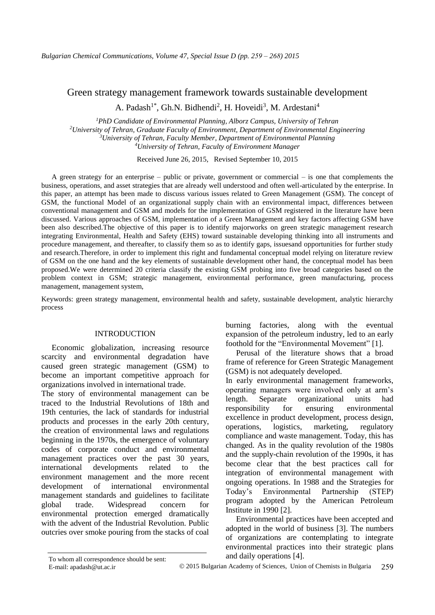# Green strategy management framework towards sustainable development

A. Padash<sup>1\*</sup>, Gh.N. Bidhendi<sup>2</sup>, H. Hoveidi<sup>3</sup>, M. Ardestani<sup>4</sup>

*PhD Candidate of Environmental Planning, Alborz Campus, University of Tehran University of Tehran, Graduate Faculty of Environment, Department of Environmental Engineering University of Tehran, Faculty Member, Department of Environmental Planning University of Tehran, Faculty of Environment Manager* 

Received June 26, 2015, Revised September 10, 2015

A green strategy for an enterprise – public or private, government or commercial – is one that complements the business, operations, and asset strategies that are already well understood and often well-articulated by the enterprise. In this paper, an attempt has been made to discuss various issues related to Green Management (GSM). The concept of GSM, the functional Model of an organizational supply chain with an environmental impact, differences between conventional management and GSM and models for the implementation of GSM registered in the literature have been discussed. Various approaches of GSM, implementation of a Green Management and key factors affecting GSM have been also described.The objective of this paper is to identify majorworks on green strategic management research integrating Environmental, Health and Safety (EHS) toward sustainable developing thinking into all instruments and procedure management, and thereafter, to classify them so as to identify gaps, issuesand opportunities for further study and research. Therefore, in order to implement this right and fundamental conceptual model relying on literature review of GSM on the one hand and the key elements of sustainable development other hand, the conceptual model has been proposed.We were determined 20 criteria classify the existing GSM probing into five broad categories based on the problem context in GSM; strategic management, environmental performance, green manufacturing, process management, management system,

Keywords: green strategy management, environmental health and safety, sustainable development, analytic hierarchy process

#### INTRODUCTION

Economic globalization, increasing resource scarcity and environmental degradation have caused green strategic management (GSM) to become an important competitive approach for organizations involved in international trade.

The story of environmental management can be traced to the Industrial Revolutions of 18th and 19th centuries, the lack of standards for industrial products and processes in the early 20th century, the creation of environmental laws and regulations beginning in the 1970s, the emergence of voluntary codes of corporate conduct and environmental management practices over the past 30 years, international developments related to the environment management and the more recent development of international environmental management standards and guidelines to facilitate global trade. Widespread concern for environmental protection emerged dramatically with the advent of the Industrial Revolution. Public outcries over smoke pouring from the stacks of coal

Perusal of the literature shows that a broad frame of reference for Green Strategic Management (GSM) is not adequately developed.

In early environmental management frameworks, operating managers were involved only at arm's length. Separate organizational units had responsibility for ensuring environmental excellence in product development, process design, operations, logistics, marketing, regulatory compliance and waste management. Today, this has changed. As in the quality revolution of the 1980s and the supply-chain revolution of the 1990s, it has become clear that the best practices call for integration of environmental management with ongoing operations. In 1988 and the Strategies for Today's Environmental Partnership (STEP) program adopted by the American Petroleum Institute in 1990 [2].

Environmental practices have been accepted and adopted in the world of business [3]. The numbers of organizations are contemplating to integrate environmental practices into their strategic plans To whom all correspondence should be sent: and daily operations [4].

burning factories, along with the eventual expansion of the petroleum industry, led to an early foothold for the "Environmental Movement" [1].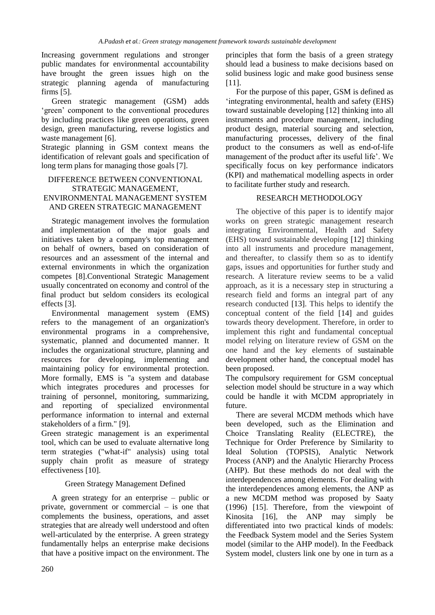Increasing government regulations and stronger public mandates for environmental accountability have brought the green issues high on the strategic planning agenda of manufacturing firms [5].

Green strategic management (GSM) adds 'green' component to the conventional procedures by including practices like green operations, green design, green manufacturing, reverse logistics and waste management [6].

Strategic planning in GSM context means the identification of relevant goals and specification of long term plans for managing those goals [7].

### DIFFERENCE BETWEEN CONVENTIONAL STRATEGIC MANAGEMENT, ENVIRONMENTAL MANAGEMENT SYSTEM AND GREEN STRATEGIC MANAGEMENT

Strategic management involves the formulation and implementation of the major goals and initiatives taken by a company's top management on behalf of owners, based on consideration of resources and an assessment of the internal and external environments in which the organization competes [8].Conventional Strategic Management usually concentrated on economy and control of the final product but seldom considers its ecological effects [3].

Environmental management system (EMS) refers to the management of an organization's environmental programs in a comprehensive, systematic, planned and documented manner. It includes the organizational structure, planning and resources for developing, implementing and maintaining policy for environmental protection. More formally, EMS is "a system and database which integrates procedures and processes for training of personnel, monitoring, summarizing, and reporting of specialized environmental performance information to internal and external stakeholders of a firm." [9].

Green strategic management is an experimental tool, which can be used to evaluate alternative long term strategies ("what-if" analysis) using total supply chain profit as measure of strategy effectiveness [10].

# Green Strategy Management Defined

A green strategy for an enterprise – public or private, government or commercial – is one that complements the business, operations, and asset strategies that are already well understood and often well-articulated by the enterprise. A green strategy fundamentally helps an enterprise make decisions that have a positive impact on the environment. The

principles that form the basis of a green strategy should lead a business to make decisions based on solid business logic and make good business sense [11].

For the purpose of this paper, GSM is defined as 'integrating environmental, health and safety (EHS) toward sustainable developing [12] thinking into all instruments and procedure management, including product design, material sourcing and selection, manufacturing processes, delivery of the final product to the consumers as well as end-of-life management of the product after its useful life'. We specifically focus on key performance indicators (KPI) and mathematical modelling aspects in order to facilitate further study and research.

### RESEARCH METHODOLOGY

The objective of this paper is to identify major works on green strategic management research integrating Environmental, Health and Safety (EHS) toward sustainable developing [12] thinking into all instruments and procedure management, and thereafter, to classify them so as to identify gaps, issues and opportunities for further study and research. A literature review seems to be a valid approach, as it is a necessary step in structuring a research field and forms an integral part of any research conducted [13]. This helps to identify the conceptual content of the field [14] and guides towards theory development. Therefore, in order to implement this right and fundamental conceptual model relying on literature review of GSM on the one hand and the key elements of sustainable development other hand, the conceptual model has been proposed.

The compulsory requirement for GSM conceptual selection model should be structure in a way which could be handle it with MCDM appropriately in future.

There are several MCDM methods which have been developed, such as the Elimination and Choice Translating Reality (ELECTRE), the Technique for Order Preference by Similarity to Ideal Solution (TOPSIS), Analytic Network Process (ANP) and the Analytic Hierarchy Process (AHP). But these methods do not deal with the interdependences among elements. For dealing with the interdependences among elements, the ANP as a new MCDM method was proposed by Saaty (1996) [15]. Therefore, from the viewpoint of Kinosita [16], the ANP may simply be differentiated into two practical kinds of models: the Feedback System model and the Series System model (similar to the AHP model). In the Feedback System model, clusters link one by one in turn as a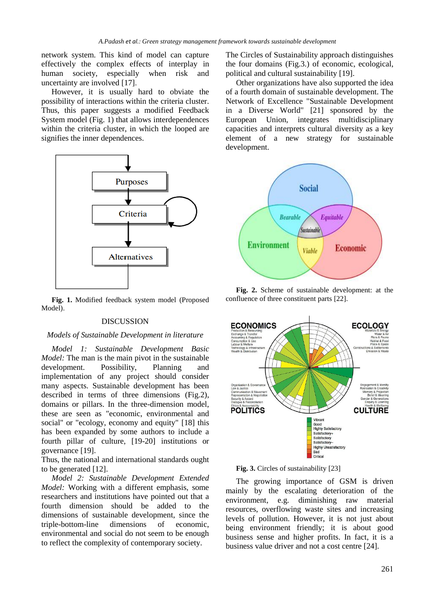network system. This kind of model can capture effectively the complex effects of interplay in human society, especially when risk and uncertainty are involved [17].

 However, it is usually hard to obviate the possibility of interactions within the criteria cluster. Thus, this paper suggests a modified Feedback System model (Fig. 1) that allows interdependences within the criteria cluster, in which the looped are signifies the inner dependences.



**Fig. 1.** Modified feedback system model (Proposed Model).

#### DISCUSSION

#### *Models of Sustainable Development in literature*

*Model 1: Sustainable Development Basic Model:* The man is the main pivot in the sustainable development. Possibility, Planning and implementation of any project should consider many aspects. Sustainable development has been described in terms of three dimensions (Fig.2), domains or pillars. In the three-dimension model, these are seen as "economic, environmental and social" or "ecology, economy and equity" [18] this has been expanded by some authors to include a fourth pillar of culture, [19-20] institutions or governance [19].

Thus, the national and international standards ought to be generated [12].

*Model 2: Sustainable Development Extended Model:* Working with a different emphasis, some researchers and institutions have pointed out that a fourth dimension should be added to the dimensions of sustainable development, since the triple-bottom-line dimensions of economic, environmental and social do not seem to be enough to reflect the complexity of contemporary society.

The Circles of Sustainability approach distinguishes the four domains (Fig.3.) of economic, ecological, political and cultural sustainability [19].

Other organizations have also supported the idea of a fourth domain of sustainable development. The Network of Excellence "Sustainable Development in a Diverse World" [21] sponsored by the European Union, integrates multidisciplinary capacities and interprets cultural diversity as a key element of a new strategy for sustainable development.



**Fig. 2.** Scheme of sustainable development: at the confluence of three constituent parts [22].



Fig. 3. Circles of sustainability [23]

The growing importance of GSM is driven mainly by the escalating deterioration of the environment, e.g. diminishing raw material resources, overflowing waste sites and increasing levels of pollution. However, it is not just about being environment friendly; it is about good business sense and higher profits. In fact, it is a business value driver and not a cost centre [24].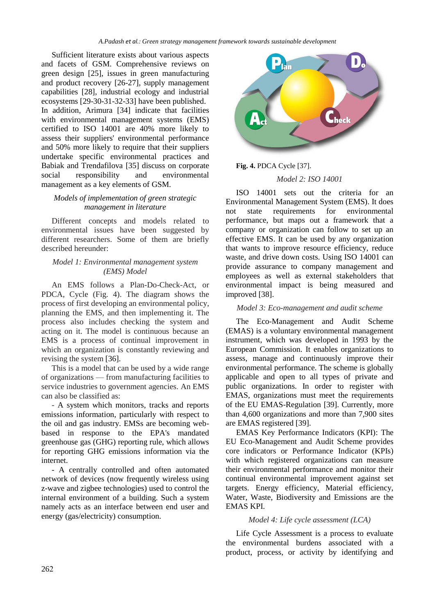Sufficient literature exists about various aspects and facets of GSM. Comprehensive reviews on green design [25], issues in green manufacturing and product recovery [26-27], supply management capabilities [28], industrial ecology and industrial ecosystems [29-30-31-32-33] have been published. In addition, Arimura [34] indicate that facilities with environmental management systems (EMS) certified to ISO 14001 are 40% more likely to assess their suppliers' environmental performance and 50% more likely to require that their suppliers undertake specific environmental practices and Babiak and Trendafilova [35] discuss on corporate social responsibility and environmental management as a key elements of GSM.

### *Models of implementation of green strategic management in literature*

Different concepts and models related to environmental issues have been suggested by different researchers. Some of them are briefly described hereunder:

### *Model 1: Environmental management system (EMS) Model*

An EMS follows a Plan-Do-Check-Act, or PDCA, Cycle (Fig. 4). The diagram shows the process of first developing an environmental policy, planning the EMS, and then implementing it. The process also includes checking the system and acting on it. The model is continuous because an EMS is a process of continual improvement in which an organization is constantly reviewing and revising the system [36].

This is a model that can be used by a wide range of organizations — from manufacturing facilities to service industries to government agencies. An EMS can also be classified as:

- A system which monitors, tracks and reports emissions information, particularly with respect to the oil and gas industry. EMSs are becoming webbased in response to the EPA's mandated greenhouse gas (GHG) reporting rule, which allows for reporting GHG emissions information via the internet.

- A centrally controlled and often automated network of devices (now frequently wireless using z-wave and zigbee technologies) used to control the internal environment of a building. Such a system namely acts as an interface between end user and energy (gas/electricity) consumption.



### **Fig. 4.** PDCA Cycle [37].

### *Model 2: ISO 14001*

ISO 14001 sets out the criteria for an Environmental Management System (EMS). It does state requirements for environmental performance, but maps out a framework that a company or organization can follow to set up an effective EMS. It can be used by any organization that wants to improve resource efficiency, reduce waste, and drive down costs. Using ISO 14001 can provide assurance to company management and employees as well as external stakeholders that environmental impact is being measured and improved [38].

### *Model 3: Eco-management and audit scheme*

The Eco-Management and Audit Scheme (EMAS) is a voluntary environmental management instrument, which was developed in 1993 by the European Commission. It enables organizations to assess, manage and continuously improve their environmental performance. The scheme is globally applicable and open to all types of private and public organizations. In order to register with EMAS, organizations must meet the requirements of the EU EMAS-Regulation [39]. Currently, more than 4,600 organizations and more than 7,900 sites are EMAS registered [39].

EMAS Key Performance Indicators (KPI): The EU Eco-Management and Audit Scheme provides core indicators or Performance Indicator (KPIs) with which registered organizations can measure their environmental performance and monitor their continual environmental improvement against set targets. Energy efficiency, Material efficiency, Water, Waste, Biodiversity and Emissions are the EMAS KPI.

### *Model 4: Life cycle assessment (LCA)*

Life Cycle Assessment is a process to evaluate the environmental burdens associated with a product, process, or activity by identifying and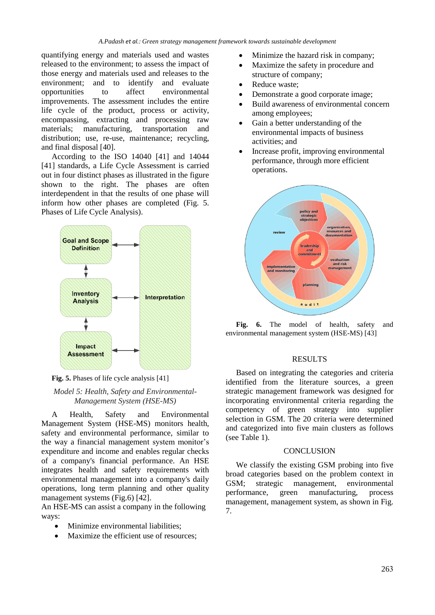quantifying energy and materials used and wastes released to the environment; to assess the impact of those energy and materials used and releases to the environment; and to identify and evaluate opportunities to affect environmental improvements. The assessment includes the entire life cycle of the product, process or activity, encompassing, extracting and processing raw materials; manufacturing, transportation and distribution; use, re-use, maintenance; recycling, and final disposal [40].

According to the ISO 14040 [41] and 14044 [41] standards, a Life Cycle Assessment is carried out in four distinct phases as illustrated in the figure shown to the right. The phases are often interdependent in that the results of one phase will inform how other phases are completed (Fig. 5. Phases of Life Cycle Analysis).





### *Model 5: Health, Safety and Environmental-Management System (HSE-MS)*

A Health, Safety and Environmental Management System (HSE-MS) monitors health, safety and environmental performance, similar to the way a financial management system monitor's expenditure and income and enables regular checks of a company's financial performance. An HSE integrates health and safety requirements with environmental management into a company's daily operations, long term planning and other quality management systems (Fig.6) [42].

An HSE-MS can assist a company in the following ways:

- Minimize environmental liabilities:
- Maximize the efficient use of resources;
- Minimize the hazard risk in company;
- Maximize the safety in procedure and structure of company;
- Reduce waste;
- Demonstrate a good corporate image;
- Build awareness of environmental concern among employees;
- Gain a better understanding of the environmental impacts of business activities; and
- Increase profit, improving environmental performance, through more efficient operations.



**Fig. 6.** The model of health, safety and environmental management system (HSE-MS) [43]

#### RESULTS

Based on integrating the categories and criteria identified from the literature sources, a green strategic management framework was designed for incorporating environmental criteria regarding the competency of green strategy into supplier selection in GSM. The 20 criteria were determined and categorized into five main clusters as follows (see Table 1).

### **CONCLUSION**

We classify the existing GSM probing into five broad categories based on the problem context in GSM; strategic management, environmental performance, green manufacturing, process management, management system, as shown in Fig. 7.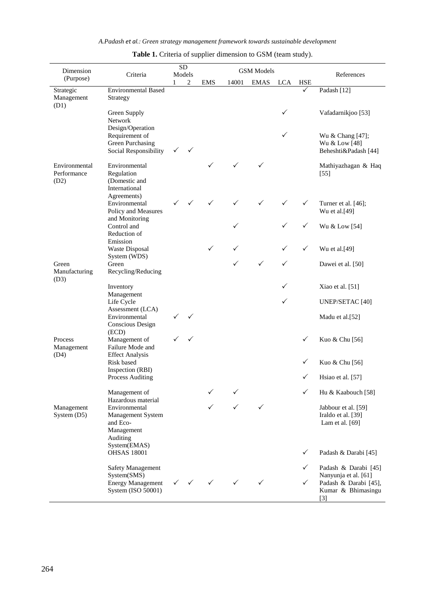| Dimension                       | Criteria                                                                           |              | <b>SD</b>    | <b>GSM</b> Models |              |              |            |                   |                                                                                                      |
|---------------------------------|------------------------------------------------------------------------------------|--------------|--------------|-------------------|--------------|--------------|------------|-------------------|------------------------------------------------------------------------------------------------------|
| (Purpose)                       |                                                                                    | 1            | Models<br>2  | <b>EMS</b>        | 14001        | <b>EMAS</b>  | <b>LCA</b> | <b>HSE</b>        | References                                                                                           |
| Strategic<br>Management<br>(D1) | <b>Environmental Based</b><br>Strategy                                             |              |              |                   |              |              |            | ✓                 | Padash [12]                                                                                          |
|                                 | Green Supply<br>Network<br>Design/Operation                                        |              |              |                   |              |              | ✓          |                   | Vafadarnikjoo [53]                                                                                   |
|                                 | Requirement of<br><b>Green Purchasing</b><br>Social Responsibility                 | $\checkmark$ | $\checkmark$ |                   |              |              | ✓          |                   | Wu & Chang [47];<br>Wu & Low [48]<br>Beheshti&Padash [44]                                            |
| Environmental<br>Performance    | Environmental<br>Regulation<br>(Domestic and                                       |              |              |                   |              | ✓            |            |                   | Mathiyazhagan & Haq<br>$[55]$                                                                        |
| (D2)                            | International<br>Agreements)                                                       |              |              |                   |              |              |            |                   |                                                                                                      |
|                                 | Environmental<br>Policy and Measures<br>and Monitoring                             |              |              | ✓                 | ✓            | ✓            | ✓          | ✓                 | Turner et al. [46];<br>Wu et al.[49]                                                                 |
|                                 | Control and<br>Reduction of                                                        |              |              |                   | ✓            |              |            | ✓                 | Wu & Low [54]                                                                                        |
|                                 | Emission<br>Waste Disposal<br>System (WDS)                                         |              |              | $\checkmark$      | ✓            |              |            | $\checkmark$      | Wu et al.[49]                                                                                        |
| Green<br>Manufacturing          | Green<br>Recycling/Reducing                                                        |              |              |                   | $\checkmark$ | $\checkmark$ | ✓          |                   | Dawei et al. [50]                                                                                    |
| (D3)                            | Inventory<br>Management                                                            |              |              |                   |              |              | ✓          |                   | Xiao et al. [51]                                                                                     |
|                                 | Life Cycle<br>Assessment (LCA)                                                     |              |              |                   |              |              | ✓          |                   | <b>UNEP/SETAC [40]</b>                                                                               |
|                                 | Environmental<br>Conscious Design<br>(ECD)                                         |              | ✓            |                   |              |              |            |                   | Madu et al.[52]                                                                                      |
| Process<br>Management           | Management of<br>Failure Mode and                                                  |              | ✓            |                   |              |              |            | ✓                 | Kuo & Chu [56]                                                                                       |
| (D4)                            | <b>Effect Analysis</b><br>Risk based<br>Inspection (RBI)                           |              |              |                   |              |              |            | ✓                 | Kuo & Chu [56]                                                                                       |
|                                 | Process Auditing                                                                   |              |              |                   |              |              |            | ✓                 | Hsiao et al. [57]                                                                                    |
|                                 | Management of<br>Hazardous material                                                |              |              |                   | ✓            |              |            | ✓                 | Hu & Kaabouch [58]                                                                                   |
| Management<br>System (D5)       | Environmental<br>Management System<br>and Eco-<br>Management<br>Auditing           |              |              |                   |              | ✓            |            |                   | Jabbour et al. [59]<br>Iraldo et al. [39]<br>Lam et al. [69]                                         |
|                                 | System(EMAS)<br><b>OHSAS 18001</b>                                                 |              |              |                   |              |              |            | ✓                 | Padash & Darabi [45]                                                                                 |
|                                 | Safety Management<br>System(SMS)<br><b>Energy Management</b><br>System (ISO 50001) |              | $\checkmark$ | $\checkmark$      | $\checkmark$ |              |            | ✓<br>$\checkmark$ | Padash & Darabi [45]<br>Nanyunja et al. [61]<br>Padash & Darabi [45],<br>Kumar & Bhimasingu<br>$[3]$ |

# Table 1. Criteria of supplier dimension to GSM (team study).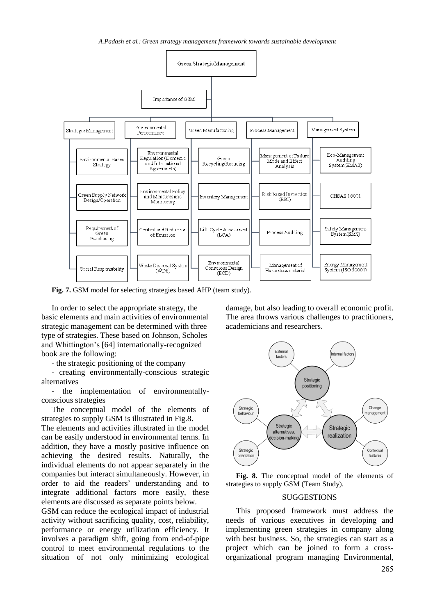*A.Padash et al.: Green strategy management framework towards sustainable development*



Fig. 7. GSM model for selecting strategies based AHP (team study).

In order to select the appropriate strategy, the basic elements and main activities of environmental strategic management can be determined with three type of strategies. These based on Johnson, Scholes and Whittington's [64] internationally-recognized book are the following:

- the strategic positioning of the company

- creating environmentally-conscious strategic alternatives

- the implementation of environmentallyconscious strategies

The conceptual model of the elements of strategies to supply GSM is illustrated in Fig.8.

The elements and activities illustrated in the model can be easily understood in environmental terms. In addition, they have a mostly positive influence on achieving the desired results. Naturally, the individual elements do not appear separately in the companies but interact simultaneously. However, in order to aid the readers' understanding and to integrate additional factors more easily, these elements are discussed as separate points below.

GSM can reduce the ecological impact of industrial activity without sacrificing quality, cost, reliability, performance or energy utilization efficiency. It involves a paradigm shift, going from end-of-pipe control to meet environmental regulations to the situation of not only minimizing ecological

damage, but also leading to overall economic profit. The area throws various challenges to practitioners, academicians and researchers.



**Fig. 8.** The conceptual model of the elements of strategies to supply GSM (Team Study).

#### SUGGESTIONS

This proposed framework must address the needs of various executives in developing and implementing green strategies in company along with best business. So, the strategies can start as a project which can be joined to form a crossorganizational program managing Environmental,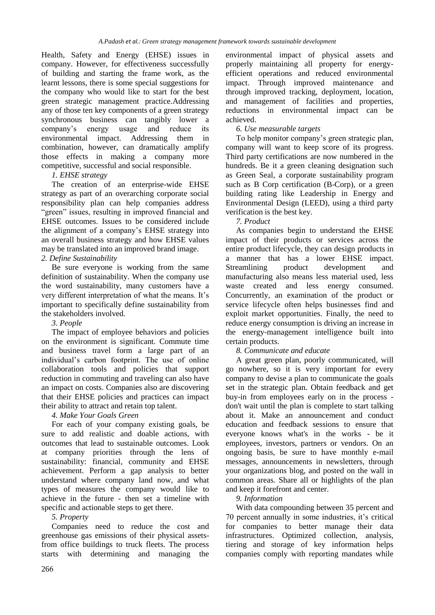Health, Safety and Energy (EHSE) issues in company. However, for effectiveness successfully of building and starting the frame work, as the learnt lessons, there is some special suggestions for the company who would like to start for the best green strategic management practice.Addressing any of those ten key components of a green strategy synchronous business can tangibly lower a company's energy usage and reduce its environmental impact. Addressing them in combination, however, can dramatically amplify those effects in making a company more competitive, successful and social responsible.

# *1. EHSE strategy*

The creation of an enterprise-wide EHSE strategy as part of an overarching corporate social responsibility plan can help companies address "green" issues, resulting in improved financial and EHSE outcomes. Issues to be considered include the alignment of a company's EHSE strategy into an overall business strategy and how EHSE values may be translated into an improved brand image.

# *2. Define Sustainability*

Be sure everyone is working from the same [definition of sustainability.](http://sustainability.about.com/od/Sustainability/a/What-Is-Sustainability.htm) When the company use the word sustainability, many customers have a very different interpretation of what the means. It's important to specifically define sustainability from the stakeholders involved.

# *3. People*

The impact of employee behaviors and policies on the environment is significant. Commute time and business travel form a large part of an individual's carbon footprint. The use of online collaboration tools and policies that support reduction in commuting and traveling can also have an impact on costs. Companies also are discovering that their EHSE policies and practices can impact their ability to attract and retain top talent.

# *4. Make Your Goals Green*

For each of your company existing goals, be sure to add realistic and doable actions, with outcomes that lead to sustainable outcomes. Look at company priorities through the lens of sustainability: financial, community and EHSE achievement. Perform a gap analysis to better understand where company land now, and what types of measures the company would like to achieve in the future - then set a timeline with specific and actionable steps to get there.

# *5. Property*

Companies need to reduce the cost and greenhouse gas emissions of their physical assetsfrom office buildings to truck fleets. The process starts with determining and managing the environmental impact of physical assets and properly maintaining all property for energyefficient operations and reduced environmental impact. Through improved maintenance and through improved tracking, deployment, location, and management of facilities and properties, reductions in environmental impact can be achieved.

# *6. Use measurable targets*

To help monitor company's green strategic plan, company will want to keep score of its progress. Third party certifications are now numbered in the hundreds. Be it a green cleaning designation such as Green Seal, a corporate sustainability program such as B Corp certification (B-Corp), or a green building rating like Leadership in Energy and Environmental Design (LEED), using a third party verification is the best key.

# *7. Product*

As companies begin to understand the EHSE impact of their products or services across the entire product lifecycle, they can design products in a manner that has a lower EHSE impact. Streamlining product development and manufacturing also means less material used, less waste created and less energy consumed. Concurrently, an examination of the product or service lifecycle often helps businesses find and exploit market opportunities. Finally, the need to reduce energy consumption is driving an increase in the energy-management intelligence built into certain products.

# *8. Communicate and educate*

A great green plan, poorly communicated, will go nowhere, so it is very important for every company to devise a plan to communicate the goals set in the strategic plan. Obtain feedback and get buy-in from employees early on in the process don't wait until the plan is complete to start talking about it. Make an announcement and conduct education and feedback sessions to ensure that everyone knows what's in the works - be it employees, investors, partners or vendors. On an ongoing basis, be sure to have monthly e-mail messages, announcements in newsletters, through your organizations blog, and posted on the wall in common areas. Share all or highlights of the plan and keep it forefront and center.

# *9. Information*

With data compounding between 35 percent and 70 percent annually in some industries, it's critical for companies to better manage their data infrastructures. Optimized collection, analysis, tiering and storage of key information helps companies comply with reporting mandates while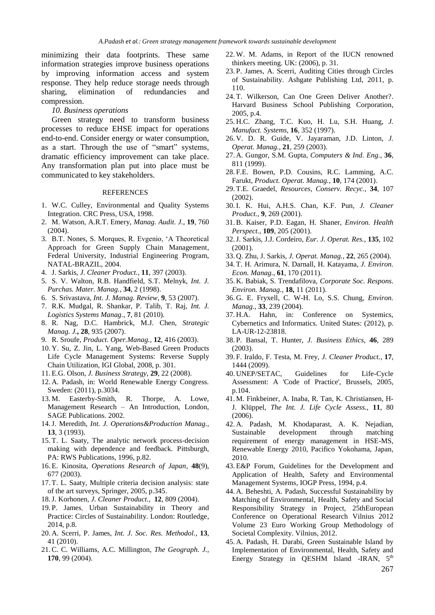minimizing their data footprints. These same information strategies improve business operations by improving information access and system response. They help reduce storage needs through sharing, elimination of redundancies and compression.

#### *10. Business operations*

Green strategy need to transform business processes to reduce EHSE impact for operations end-to-end. Consider energy or water consumption, as a start. Through the use of "smart" systems, dramatic efficiency improvement can take place. Any transformation plan put into place must be communicated to key stakeholders.

#### REFERENCES

- 1. W.C. Culley, Environmental and Quality Systems Integration. CRC Press, USA, 1998.
- 2. M. Watson, A.R.T. Emery, *Manag. Audit. J.*, **19**, 760 (2004).
- 3. B.T. Nones, S. Morques, R. Evgenio, 'A Theoretical Approach for Green Supply Chain Management, Federal University, Industrial Engineering Program, NATAL-BRAZIL, 2004.
- 4. J. Sarkis, *J. Cleaner Product.,* **11**, 397 (2003).
- 5. S. V. Walton, R.B. Handfield, S.T. Melnyk, *Int. J. Purchas. Mater. Manag.*, **34**, 2 (1998).
- 6. S. Srivastava, *Int. J. Manag. Review*, **9**, 53 (2007).
- 7. R.K. Mudgal, R. Shankar, P. Talib, T. Raj, *Int. J. Logistics Systems Manag.*, **7**, 81 (2010).
- 8. R. Nag, D.C. Hambrick, M.J. Chen, *Strategic Manag. J.***, 28**, 935 (2007).
- 9. R. Sroufe, *Product. Oper.Manag.*, **12**, 416 (2003).
- 10. Y. Su, Z. Jin, L. Yang, Web-Based Green Products Life Cycle Management Systems: Reverse Supply Chain Utilization, IGI Global, 2008, p. 301.
- 11. E.G. Olson, *J. Business Strategy*, **29**, 22 (2008).
- 12. A. Padash, in: World Renewable Energy Congress. Sweden: (2011), p.3034.
- 13. M. Easterby-Smith, R. Thorpe, A. Lowe, Management Research – An Introduction, London, SAGE Publications. 2002.
- 14.J. Meredith, *Int. J. Operations&Production Manag.*, **13**, 3 (1993).
- 15. T. L. Saaty, The analytic network process-decision making with dependence and feedback. Pittsburgh, PA: RWS Publications, 1996, p.82.
- 16. E. Kinosita, *Operations Research of Japan*, **48**(9), 677 (2003).
- 17. T. L. Saaty, Multiple criteria decision analysis: state of the art surveys, Springer, 2005, p.345.
- 18.J. Korhonen, *J. Cleaner Product.,* **12**, 809 (2004).
- 19. P. James, Urban Sustainability in Theory and Practice: Circles of Sustainability. London: Routledge, 2014, p.8.
- 20. A. Scerri, P. James, *Int. J. Soc. Res. Methodol.*, **13**, 41 (2010).
- 21.C. C. Williams, A.C. Millington, *The Geograph. J.*, **170**, 99 (2004).
- 22. W. M. Adams, in Report of the IUCN renowned thinkers meeting. UK: (2006), p. 31.
- 23. P. James, A. Scerri, Auditing Cities through Circles of Sustainability. Ashgate Publishing Ltd, 2011, p. 110.
- 24. T. Wilkerson, Can One Green Deliver Another?. Harvard Business School Publishing Corporation, 2005, p.4.
- 25. H.C. Zhang, T.C. Kuo, H. Lu, S.H. Huang, *J. Manufact. Systems*, **16**, 352 (1997).
- 26. V. D. R. Guide, V. Jayaraman, J.D. Linton, *J. Operat. Manag.*, **21**, 259 (2003).
- 27. A. Gungor, S.M. Gupta, *Computers & Ind. Eng.*, **36**, 811 (1999).
- 28. F.E. Bowen, P.D. Cousins, R.C. Lamming, A.C. Farukt, *Product. Operat. Manag.*, **10**, 174 (2001).
- 29. T.E. Graedel, *Resources, Conserv. Recyc.*, **34**, 107 (2002).
- 30.I. K. Hui, A.H.S. Chan, K.F. Pun, *J. Cleaner Product.,* **9**, 269 (2001).
- 31.B. Kaiser, P.D. Eagan, H. Shaner, *Environ. Health Perspect.*, **109**, 205 (2001).
- 32.J. Sarkis, J.J. Cordeiro, *Eur. J. Operat. Res.*, **135**, 102 (2001).
- 33. Q. Zhu, J. Sarkis, *J. Operat. Manag.*, **22**, 265 (2004).
- 34. T. H. Arimura, N. Darnall, H. Katayama, *J. Environ. Econ. Manag.*, **61**, 170 (2011).
- 35. K. Babiak, S. Trendafilova, *Corporate Soc. Respons. Environ. Manag.*, **18,** 11 (2011).
- 36. G. E. Fryxell, C. W-H. Lo, S.S. Chung, *Environ. Manag.*, **33**, 239 (2004).
- 37. H.A. Hahn, in: Conference on Systemics, Cybernetics and Informatics. United States: (2012), p. LA-UR-12-23818.
- 38. P. Bansal, T. Hunter, *J. Business Ethics*, **46**, 289 (2003).
- 39. F. Iraldo, F. Testa, M. Frey, *J. Cleaner Product.,* **17**, 1444 (2009).
- 40. UNEP/SETAC, Guidelines for Life-Cycle Assessment: A 'Code of Practice', Brussels, 2005, p.104.
- 41. M. Finkbeiner, A. Inaba, R. Tan, K. Christiansen, H-J. Klüppel, *The Int. J. Life Cycle Assess.*, **11**, 80 (2006).
- 42. A. Padash, M. Khodaparast, A. K. Nejadian, Sustainable development through matching requirement of energy management in HSE-MS, Renewable Energy 2010, Pacifico Yokohama, Japan, 2010.
- 43. E&P Forum, Guidelines for the Development and Application of Health, Safety and Environmental Management Systems, IOGP Press, 1994, p.4.
- 44. A. Beheshti, A. Padash, Successful Sustainability by Matching of Environmental, Health, Safety and Social Responsibility Strategy in Project, 25thEuropean Conference on Operational Research Vilnius 2012 Volume 23 Euro Working Group Methodology of Societal Complexity. Vilnius, 2012.
- 45. A. Padash, H. Darabi, Green Sustainable Island by Implementation of Environmental, Health, Safety and Energy Strategy in QESHM Island -IRAN, 5<sup>th</sup>